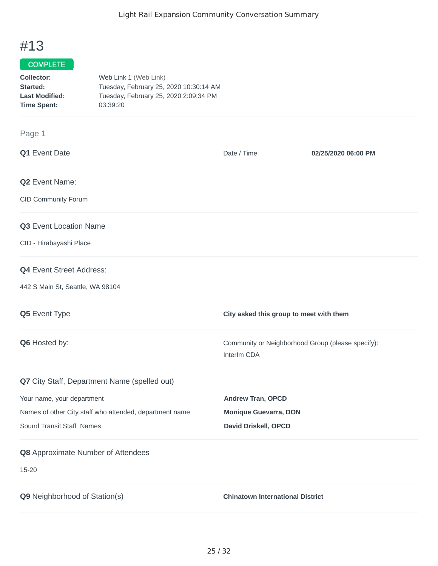# #13

## COMPLETE

| Collector:            | Web Link 1 (Web Link)                  |
|-----------------------|----------------------------------------|
| Started:              | Tuesday, February 25, 2020 10:30:14 AM |
| <b>Last Modified:</b> | Tuesday, February 25, 2020 2:09:34 PM  |
| <b>Time Spent:</b>    | 03:39:20                               |

### Page 1

| Q1 Event Date                                           | Date / Time                                                      | 02/25/2020 06:00 PM |
|---------------------------------------------------------|------------------------------------------------------------------|---------------------|
| Q2 Event Name:                                          |                                                                  |                     |
| CID Community Forum                                     |                                                                  |                     |
| Q3 Event Location Name                                  |                                                                  |                     |
| CID - Hirabayashi Place                                 |                                                                  |                     |
| <b>Q4</b> Event Street Address:                         |                                                                  |                     |
| 442 S Main St, Seattle, WA 98104                        |                                                                  |                     |
| Q5 Event Type                                           | City asked this group to meet with them                          |                     |
| Q6 Hosted by:                                           | Community or Neighborhood Group (please specify):<br>InterIm CDA |                     |
| Q7 City Staff, Department Name (spelled out)            |                                                                  |                     |
| Your name, your department                              | <b>Andrew Tran, OPCD</b>                                         |                     |
| Names of other City staff who attended, department name | <b>Monique Guevarra, DON</b>                                     |                     |
| Sound Transit Staff Names                               | David Driskell, OPCD                                             |                     |
| Q8 Approximate Number of Attendees                      |                                                                  |                     |
| 15-20                                                   |                                                                  |                     |
| Q9 Neighborhood of Station(s)                           | <b>Chinatown International District</b>                          |                     |